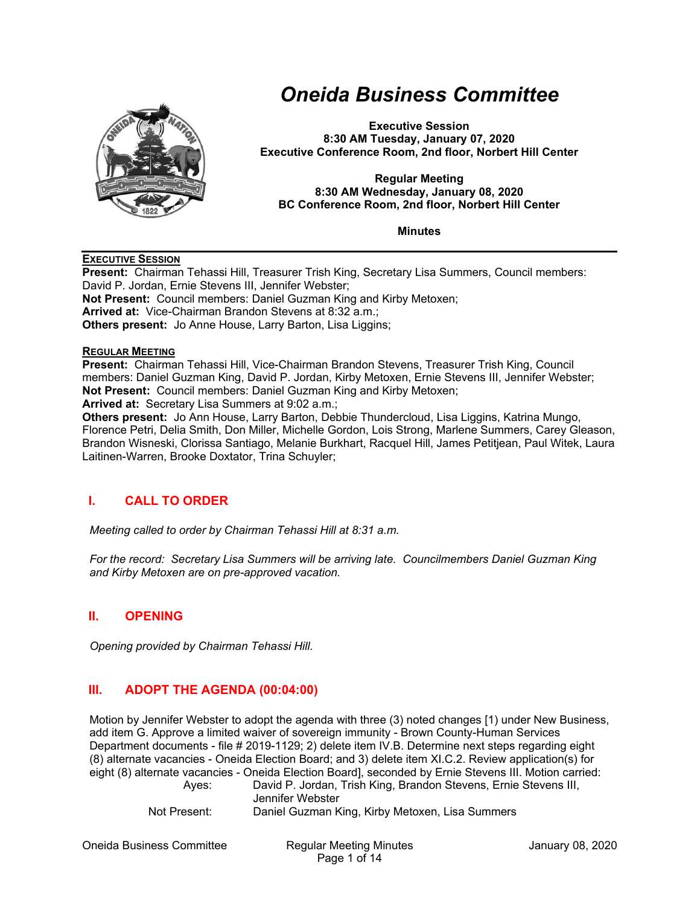

# *Oneida Business Committee*

**Executive Session 8:30 AM Tuesday, January 07, 2020 Executive Conference Room, 2nd floor, Norbert Hill Center** 

#### **Regular Meeting 8:30 AM Wednesday, January 08, 2020 BC Conference Room, 2nd floor, Norbert Hill Center**

#### **Minutes**

#### **EXECUTIVE SESSION**

**Present:** Chairman Tehassi Hill, Treasurer Trish King, Secretary Lisa Summers, Council members: David P. Jordan, Ernie Stevens III, Jennifer Webster; **Not Present:** Council members: Daniel Guzman King and Kirby Metoxen; **Arrived at:** Vice-Chairman Brandon Stevens at 8:32 a.m.; **Others present:** Jo Anne House, Larry Barton, Lisa Liggins;

#### **REGULAR MEETING**

**Present:** Chairman Tehassi Hill, Vice-Chairman Brandon Stevens, Treasurer Trish King, Council members: Daniel Guzman King, David P. Jordan, Kirby Metoxen, Ernie Stevens III, Jennifer Webster; **Not Present:** Council members: Daniel Guzman King and Kirby Metoxen; **Arrived at:** Secretary Lisa Summers at 9:02 a.m.;

**Others present:** Jo Ann House, Larry Barton, Debbie Thundercloud, Lisa Liggins, Katrina Mungo, Florence Petri, Delia Smith, Don Miller, Michelle Gordon, Lois Strong, Marlene Summers, Carey Gleason, Brandon Wisneski, Clorissa Santiago, Melanie Burkhart, Racquel Hill, James Petitjean, Paul Witek, Laura Laitinen-Warren, Brooke Doxtator, Trina Schuyler;

### **I. CALL TO ORDER**

*Meeting called to order by Chairman Tehassi Hill at 8:31 a.m.* 

*For the record: Secretary Lisa Summers will be arriving late. Councilmembers Daniel Guzman King and Kirby Metoxen are on pre-approved vacation.* 

#### **II. OPENING**

*Opening provided by Chairman Tehassi Hill.* 

#### **III. ADOPT THE AGENDA (00:04:00)**

Motion by Jennifer Webster to adopt the agenda with three (3) noted changes [1) under New Business, add item G. Approve a limited waiver of sovereign immunity - Brown County-Human Services Department documents - file # 2019-1129; 2) delete item IV.B. Determine next steps regarding eight (8) alternate vacancies - Oneida Election Board; and 3) delete item XI.C.2. Review application(s) for eight (8) alternate vacancies - Oneida Election Board], seconded by Ernie Stevens III. Motion carried:

 Ayes: David P. Jordan, Trish King, Brandon Stevens, Ernie Stevens III, Jennifer Webster Not Present: Daniel Guzman King, Kirby Metoxen, Lisa Summers

Oneida Business Committee Regular Meeting Minutes January 08, 2020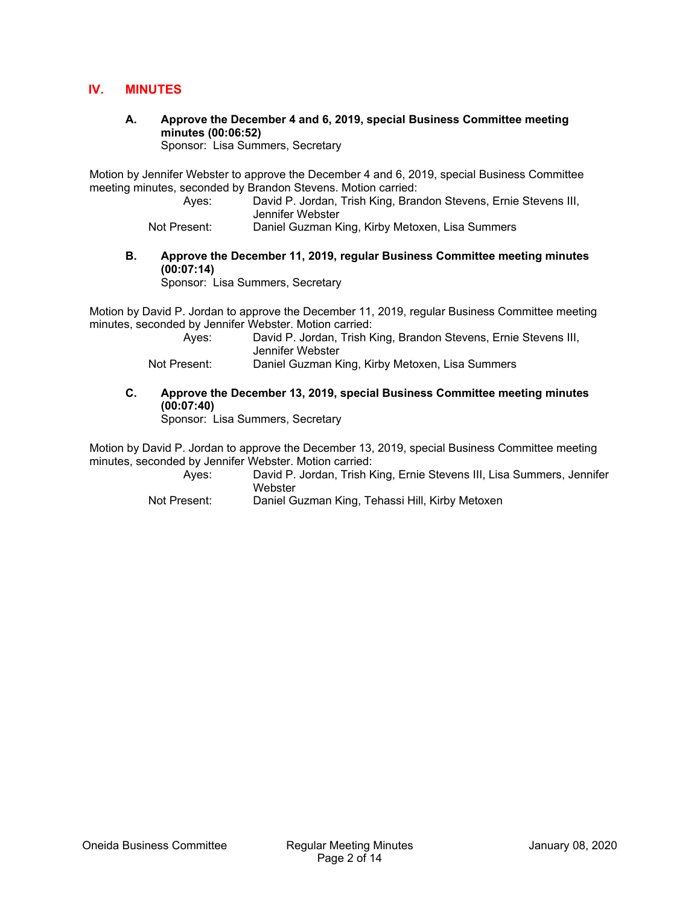#### **IV. MINUTES**

**A. Approve the December 4 and 6, 2019, special Business Committee meeting minutes (00:06:52)** 

Sponsor: Lisa Summers, Secretary

Motion by Jennifer Webster to approve the December 4 and 6, 2019, special Business Committee meeting minutes, seconded by Brandon Stevens. Motion carried:

 Ayes: David P. Jordan, Trish King, Brandon Stevens, Ernie Stevens III, Jennifer Webster

Not Present: Daniel Guzman King, Kirby Metoxen, Lisa Summers

#### **B. Approve the December 11, 2019, regular Business Committee meeting minutes (00:07:14)**

Sponsor: Lisa Summers, Secretary

Motion by David P. Jordan to approve the December 11, 2019, regular Business Committee meeting minutes, seconded by Jennifer Webster. Motion carried:

| Ayes:        | David P. Jordan, Trish King, Brandon Stevens, Ernie Stevens III,<br>Jennifer Webster |
|--------------|--------------------------------------------------------------------------------------|
| Not Present: | Daniel Guzman King, Kirby Metoxen, Lisa Summers                                      |

#### **C. Approve the December 13, 2019, special Business Committee meeting minutes (00:07:40)**

Sponsor: Lisa Summers, Secretary

Motion by David P. Jordan to approve the December 13, 2019, special Business Committee meeting minutes, seconded by Jennifer Webster. Motion carried:

> Ayes: David P. Jordan, Trish King, Ernie Stevens III, Lisa Summers, Jennifer **Webster**

Not Present: Daniel Guzman King, Tehassi Hill, Kirby Metoxen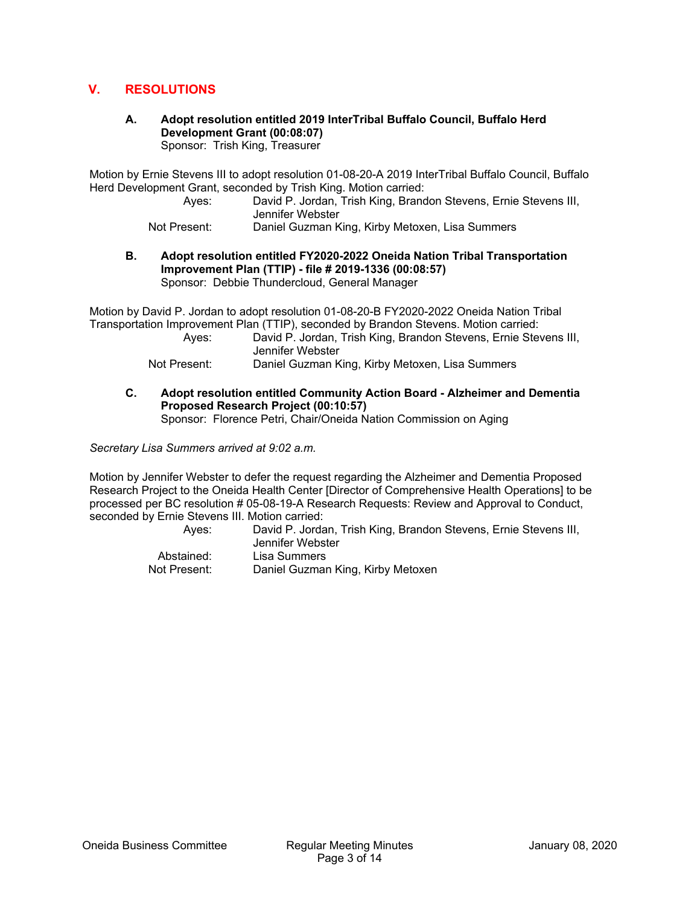#### **V. RESOLUTIONS**

## **A. Adopt resolution entitled 2019 InterTribal Buffalo Council, Buffalo Herd Development Grant (00:08:07)**

Sponsor: Trish King, Treasurer

Motion by Ernie Stevens III to adopt resolution 01-08-20-A 2019 InterTribal Buffalo Council, Buffalo Herd Development Grant, seconded by Trish King. Motion carried:

 Ayes: David P. Jordan, Trish King, Brandon Stevens, Ernie Stevens III, Jennifer Webster

Not Present: Daniel Guzman King, Kirby Metoxen, Lisa Summers

#### **B. Adopt resolution entitled FY2020-2022 Oneida Nation Tribal Transportation Improvement Plan (TTIP) - file # 2019-1336 (00:08:57)**  Sponsor: Debbie Thundercloud, General Manager

Motion by David P. Jordan to adopt resolution 01-08-20-B FY2020-2022 Oneida Nation Tribal Transportation Improvement Plan (TTIP), seconded by Brandon Stevens. Motion carried:

| Ayes:        | David P. Jordan, Trish King, Brandon Stevens, Ernie Stevens III,<br>Jennifer Webster |
|--------------|--------------------------------------------------------------------------------------|
| Not Present: | Daniel Guzman King, Kirby Metoxen, Lisa Summers                                      |

**C. Adopt resolution entitled Community Action Board - Alzheimer and Dementia Proposed Research Project (00:10:57)** 

Sponsor: Florence Petri, Chair/Oneida Nation Commission on Aging

*Secretary Lisa Summers arrived at 9:02 a.m.* 

Motion by Jennifer Webster to defer the request regarding the Alzheimer and Dementia Proposed Research Project to the Oneida Health Center [Director of Comprehensive Health Operations] to be processed per BC resolution # 05-08-19-A Research Requests: Review and Approval to Conduct, seconded by Ernie Stevens III. Motion carried:

| Aves:        | David P. Jordan, Trish King, Brandon Stevens, Ernie Stevens III,<br>Jennifer Webster |
|--------------|--------------------------------------------------------------------------------------|
| Abstained:   | Lisa Summers                                                                         |
| Not Present: | Daniel Guzman King, Kirby Metoxen                                                    |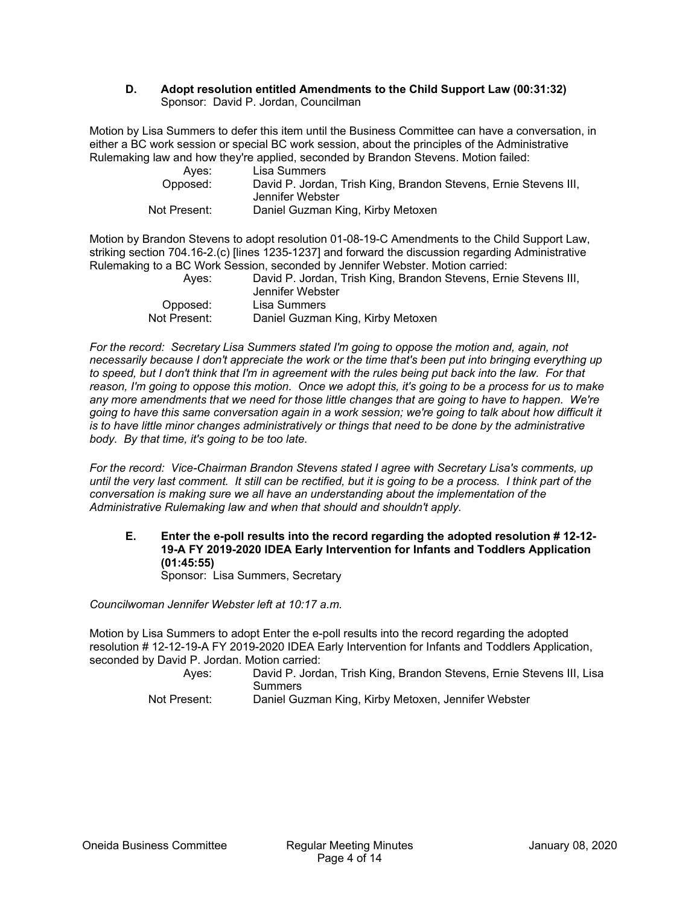#### **D. Adopt resolution entitled Amendments to the Child Support Law (00:31:32)**  Sponsor: David P. Jordan, Councilman

Motion by Lisa Summers to defer this item until the Business Committee can have a conversation, in either a BC work session or special BC work session, about the principles of the Administrative Rulemaking law and how they're applied, seconded by Brandon Stevens. Motion failed:

| Aves:        | Lisa Summers                                                     |
|--------------|------------------------------------------------------------------|
| Opposed:     | David P. Jordan, Trish King, Brandon Stevens, Ernie Stevens III, |
|              | Jennifer Webster                                                 |
| Not Present: | Daniel Guzman King, Kirby Metoxen                                |

Motion by Brandon Stevens to adopt resolution 01-08-19-C Amendments to the Child Support Law, striking section 704.16-2.(c) [lines 1235-1237] and forward the discussion regarding Administrative Rulemaking to a BC Work Session, seconded by Jennifer Webster. Motion carried:

| Aves:        | David P. Jordan, Trish King, Brandon Stevens, Ernie Stevens III,<br>Jennifer Webster |
|--------------|--------------------------------------------------------------------------------------|
| Opposed:     | Lisa Summers                                                                         |
| Not Present: | Daniel Guzman King, Kirby Metoxen                                                    |

*For the record: Secretary Lisa Summers stated I'm going to oppose the motion and, again, not necessarily because I don't appreciate the work or the time that's been put into bringing everything up to speed, but I don't think that I'm in agreement with the rules being put back into the law. For that reason, I'm going to oppose this motion. Once we adopt this, it's going to be a process for us to make any more amendments that we need for those little changes that are going to have to happen. We're going to have this same conversation again in a work session; we're going to talk about how difficult it is to have little minor changes administratively or things that need to be done by the administrative body. By that time, it's going to be too late.* 

*For the record: Vice-Chairman Brandon Stevens stated I agree with Secretary Lisa's comments, up until the very last comment. It still can be rectified, but it is going to be a process. I think part of the conversation is making sure we all have an understanding about the implementation of the Administrative Rulemaking law and when that should and shouldn't apply.* 

**E. Enter the e-poll results into the record regarding the adopted resolution # 12-12- 19-A FY 2019-2020 IDEA Early Intervention for Infants and Toddlers Application (01:45:55)** 

Sponsor: Lisa Summers, Secretary

*Councilwoman Jennifer Webster left at 10:17 a.m.* 

Motion by Lisa Summers to adopt Enter the e-poll results into the record regarding the adopted resolution # 12-12-19-A FY 2019-2020 IDEA Early Intervention for Infants and Toddlers Application, seconded by David P. Jordan. Motion carried:

| Aves:        | David P. Jordan, Trish King, Brandon Stevens, Ernie Stevens III, Lisa |
|--------------|-----------------------------------------------------------------------|
|              | Summers                                                               |
| Not Present: | Daniel Guzman King, Kirby Metoxen, Jennifer Webster                   |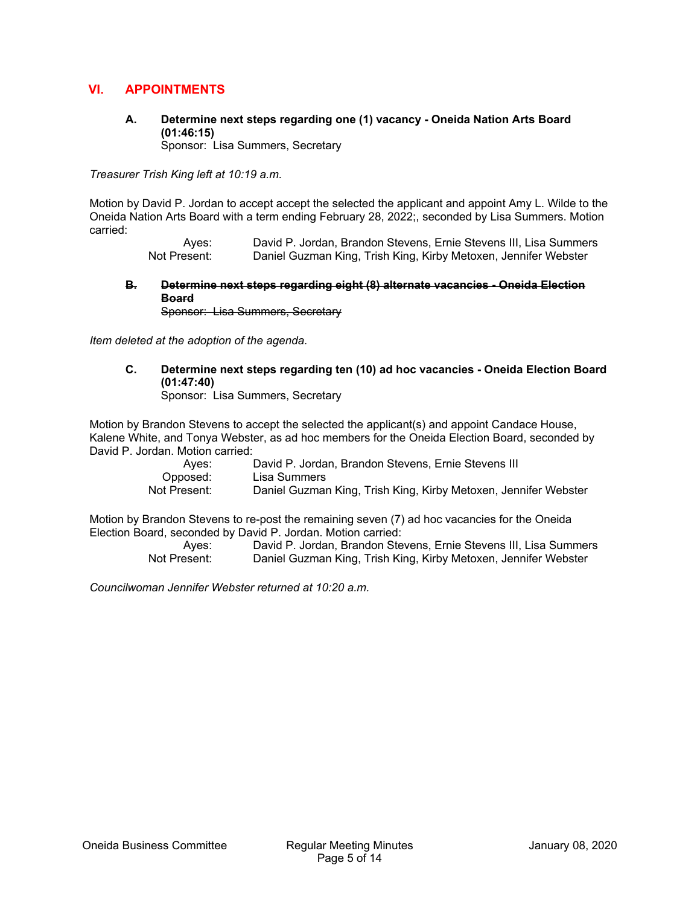#### **VI. APPOINTMENTS**

### **A. Determine next steps regarding one (1) vacancy - Oneida Nation Arts Board (01:46:15)**

Sponsor: Lisa Summers, Secretary

*Treasurer Trish King left at 10:19 a.m.* 

Motion by David P. Jordan to accept accept the selected the applicant and appoint Amy L. Wilde to the Oneida Nation Arts Board with a term ending February 28, 2022;, seconded by Lisa Summers. Motion carried:

> Ayes: David P. Jordan, Brandon Stevens, Ernie Stevens III, Lisa Summers<br>Not Present: Daniel Guzman King, Trish King, Kirby Metoxen, Jennifer Webster Daniel Guzman King, Trish King, Kirby Metoxen, Jennifer Webster

**B. Determine next steps regarding eight (8) alternate vacancies - Oneida Election Board** 

Sponsor: Lisa Summers, Secretary

*Item deleted at the adoption of the agenda.* 

**C. Determine next steps regarding ten (10) ad hoc vacancies - Oneida Election Board (01:47:40)** 

Sponsor: Lisa Summers, Secretary

Motion by Brandon Stevens to accept the selected the applicant(s) and appoint Candace House, Kalene White, and Tonya Webster, as ad hoc members for the Oneida Election Board, seconded by David P. Jordan. Motion carried:

| Aves:        | David P. Jordan, Brandon Stevens, Ernie Stevens III             |
|--------------|-----------------------------------------------------------------|
| Opposed:     | Lisa Summers                                                    |
| Not Present: | Daniel Guzman King, Trish King, Kirby Metoxen, Jennifer Webster |

Motion by Brandon Stevens to re-post the remaining seven (7) ad hoc vacancies for the Oneida Election Board, seconded by David P. Jordan. Motion carried:

> Ayes: David P. Jordan, Brandon Stevens, Ernie Stevens III, Lisa Summers Not Present: Daniel Guzman King, Trish King, Kirby Metoxen, Jennifer Webster

*Councilwoman Jennifer Webster returned at 10:20 a.m.*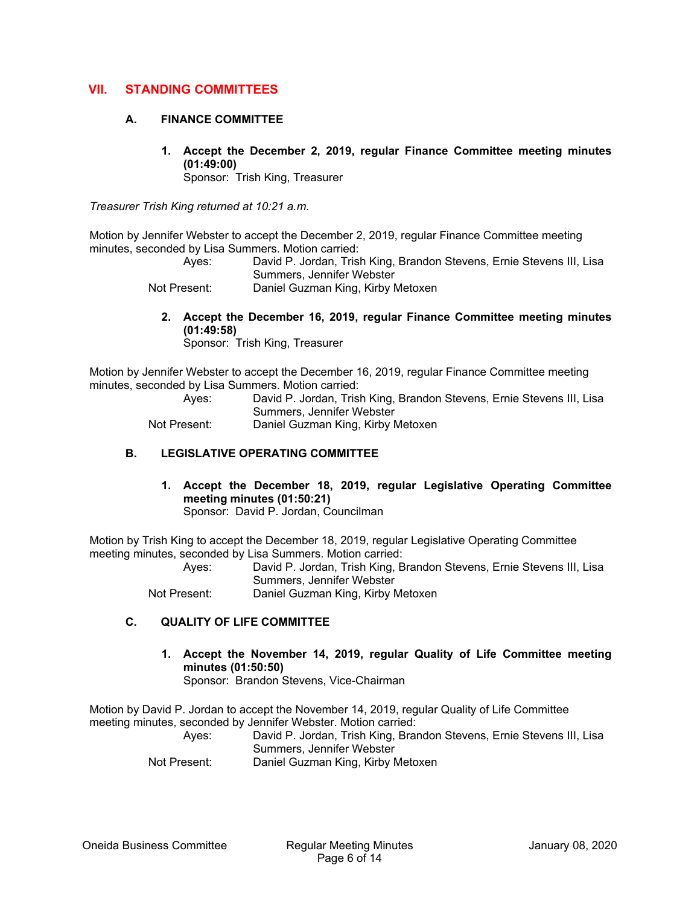#### **VII. STANDING COMMITTEES**

#### **A. FINANCE COMMITTEE**

**1. Accept the December 2, 2019, regular Finance Committee meeting minutes (01:49:00)** 

Sponsor: Trish King, Treasurer

*Treasurer Trish King returned at 10:21 a.m.* 

Motion by Jennifer Webster to accept the December 2, 2019, regular Finance Committee meeting minutes, seconded by Lisa Summers. Motion carried:

> Ayes: David P. Jordan, Trish King, Brandon Stevens, Ernie Stevens III, Lisa Summers, Jennifer Webster

Not Present: Daniel Guzman King, Kirby Metoxen

**2. Accept the December 16, 2019, regular Finance Committee meeting minutes (01:49:58)** 

Sponsor: Trish King, Treasurer

Motion by Jennifer Webster to accept the December 16, 2019, regular Finance Committee meeting minutes, seconded by Lisa Summers. Motion carried:

 Ayes: David P. Jordan, Trish King, Brandon Stevens, Ernie Stevens III, Lisa Summers, Jennifer Webster

Not Present: Daniel Guzman King, Kirby Metoxen

#### **B. LEGISLATIVE OPERATING COMMITTEE**

**1. Accept the December 18, 2019, regular Legislative Operating Committee meeting minutes (01:50:21)**  Sponsor: David P. Jordan, Councilman

Motion by Trish King to accept the December 18, 2019, regular Legislative Operating Committee meeting minutes, seconded by Lisa Summers. Motion carried:

 Ayes: David P. Jordan, Trish King, Brandon Stevens, Ernie Stevens III, Lisa Summers, Jennifer Webster Not Present: Daniel Guzman King, Kirby Metoxen

#### **C. QUALITY OF LIFE COMMITTEE**

**1. Accept the November 14, 2019, regular Quality of Life Committee meeting minutes (01:50:50)**  Sponsor: Brandon Stevens, Vice-Chairman

Motion by David P. Jordan to accept the November 14, 2019, regular Quality of Life Committee meeting minutes, seconded by Jennifer Webster. Motion carried:

 Ayes: David P. Jordan, Trish King, Brandon Stevens, Ernie Stevens III, Lisa Summers, Jennifer Webster Not Present: Daniel Guzman King, Kirby Metoxen

Oneida Business Committee Regular Meeting Minutes January 08, 2020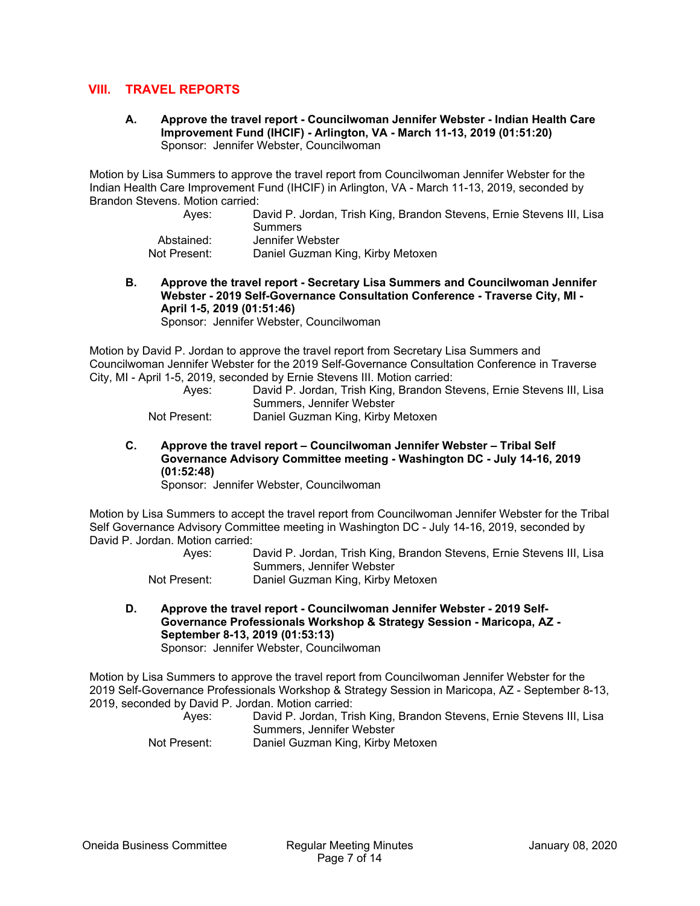#### **VIII. TRAVEL REPORTS**

**A. Approve the travel report - Councilwoman Jennifer Webster - Indian Health Care Improvement Fund (IHCIF) - Arlington, VA - March 11-13, 2019 (01:51:20)**  Sponsor: Jennifer Webster, Councilwoman

Motion by Lisa Summers to approve the travel report from Councilwoman Jennifer Webster for the Indian Health Care Improvement Fund (IHCIF) in Arlington, VA - March 11-13, 2019, seconded by Brandon Stevens. Motion carried:

| Aves:        | David P. Jordan, Trish King, Brandon Stevens, Ernie Stevens III, Lisa<br>Summers |
|--------------|----------------------------------------------------------------------------------|
| Abstained:   | Jennifer Webster                                                                 |
| Not Present: | Daniel Guzman King, Kirby Metoxen                                                |

**B. Approve the travel report - Secretary Lisa Summers and Councilwoman Jennifer Webster - 2019 Self-Governance Consultation Conference - Traverse City, MI - April 1-5, 2019 (01:51:46)** 

Sponsor: Jennifer Webster, Councilwoman

Motion by David P. Jordan to approve the travel report from Secretary Lisa Summers and Councilwoman Jennifer Webster for the 2019 Self-Governance Consultation Conference in Traverse City, MI - April 1-5, 2019, seconded by Ernie Stevens III. Motion carried:

 Ayes: David P. Jordan, Trish King, Brandon Stevens, Ernie Stevens III, Lisa Summers, Jennifer Webster Not Present: Daniel Guzman King, Kirby Metoxen

**C. Approve the travel report – Councilwoman Jennifer Webster – Tribal Self Governance Advisory Committee meeting - Washington DC - July 14-16, 2019 (01:52:48)** 

Sponsor: Jennifer Webster, Councilwoman

Motion by Lisa Summers to accept the travel report from Councilwoman Jennifer Webster for the Tribal Self Governance Advisory Committee meeting in Washington DC - July 14-16, 2019, seconded by David P. Jordan. Motion carried:

> Ayes: David P. Jordan, Trish King, Brandon Stevens, Ernie Stevens III, Lisa Summers, Jennifer Webster

Not Present: Daniel Guzman King, Kirby Metoxen

**D. Approve the travel report - Councilwoman Jennifer Webster - 2019 Self-Governance Professionals Workshop & Strategy Session - Maricopa, AZ - September 8-13, 2019 (01:53:13)**  Sponsor: Jennifer Webster, Councilwoman

Motion by Lisa Summers to approve the travel report from Councilwoman Jennifer Webster for the 2019 Self-Governance Professionals Workshop & Strategy Session in Maricopa, AZ - September 8-13, 2019, seconded by David P. Jordan. Motion carried:

| _____ | Ayes:        | David P. Jordan, Trish King, Brandon Stevens, Ernie Stevens III, Lisa |
|-------|--------------|-----------------------------------------------------------------------|
|       |              | Summers, Jennifer Webster                                             |
|       | Not Present: | Daniel Guzman King, Kirby Metoxen                                     |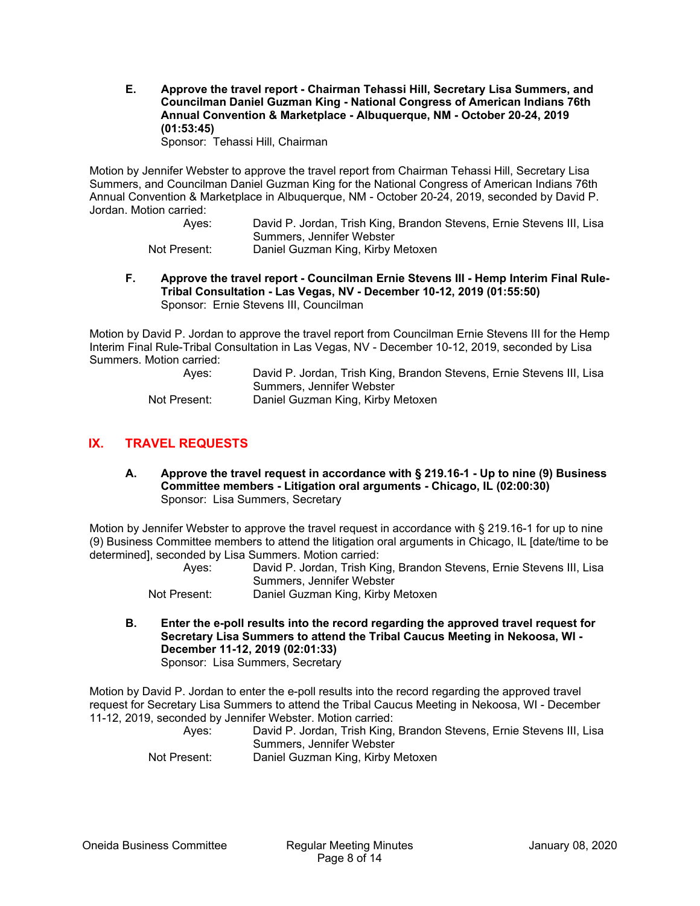**E. Approve the travel report - Chairman Tehassi Hill, Secretary Lisa Summers, and Councilman Daniel Guzman King - National Congress of American Indians 76th Annual Convention & Marketplace - Albuquerque, NM - October 20-24, 2019 (01:53:45)** 

Sponsor: Tehassi Hill, Chairman

Motion by Jennifer Webster to approve the travel report from Chairman Tehassi Hill, Secretary Lisa Summers, and Councilman Daniel Guzman King for the National Congress of American Indians 76th Annual Convention & Marketplace in Albuquerque, NM - October 20-24, 2019, seconded by David P. Jordan. Motion carried:

 Ayes: David P. Jordan, Trish King, Brandon Stevens, Ernie Stevens III, Lisa Summers, Jennifer Webster Not Present: Daniel Guzman King, Kirby Metoxen

**F. Approve the travel report - Councilman Ernie Stevens III - Hemp Interim Final Rule-Tribal Consultation - Las Vegas, NV - December 10-12, 2019 (01:55:50)**  Sponsor: Ernie Stevens III, Councilman

Motion by David P. Jordan to approve the travel report from Councilman Ernie Stevens III for the Hemp Interim Final Rule-Tribal Consultation in Las Vegas, NV - December 10-12, 2019, seconded by Lisa Summers. Motion carried:

| Ayes:        | David P. Jordan, Trish King, Brandon Stevens, Ernie Stevens III, Lisa |
|--------------|-----------------------------------------------------------------------|
|              | Summers, Jennifer Webster                                             |
| Not Present: | Daniel Guzman King, Kirby Metoxen                                     |

#### **IX. TRAVEL REQUESTS**

**A. Approve the travel request in accordance with § 219.16-1 - Up to nine (9) Business Committee members - Litigation oral arguments - Chicago, IL (02:00:30)**  Sponsor: Lisa Summers, Secretary

Motion by Jennifer Webster to approve the travel request in accordance with § 219.16-1 for up to nine (9) Business Committee members to attend the litigation oral arguments in Chicago, IL [date/time to be determined], seconded by Lisa Summers. Motion carried:

| Ayes:        | David P. Jordan, Trish King, Brandon Stevens, Ernie Stevens III, Lisa |
|--------------|-----------------------------------------------------------------------|
|              | Summers, Jennifer Webster                                             |
| Not Present: | Daniel Guzman King, Kirby Metoxen                                     |

**B. Enter the e-poll results into the record regarding the approved travel request for Secretary Lisa Summers to attend the Tribal Caucus Meeting in Nekoosa, WI - December 11-12, 2019 (02:01:33)**  Sponsor: Lisa Summers, Secretary

Motion by David P. Jordan to enter the e-poll results into the record regarding the approved travel request for Secretary Lisa Summers to attend the Tribal Caucus Meeting in Nekoosa, WI - December 11-12, 2019, seconded by Jennifer Webster. Motion carried:

 Ayes: David P. Jordan, Trish King, Brandon Stevens, Ernie Stevens III, Lisa Summers, Jennifer Webster Not Present: Daniel Guzman King, Kirby Metoxen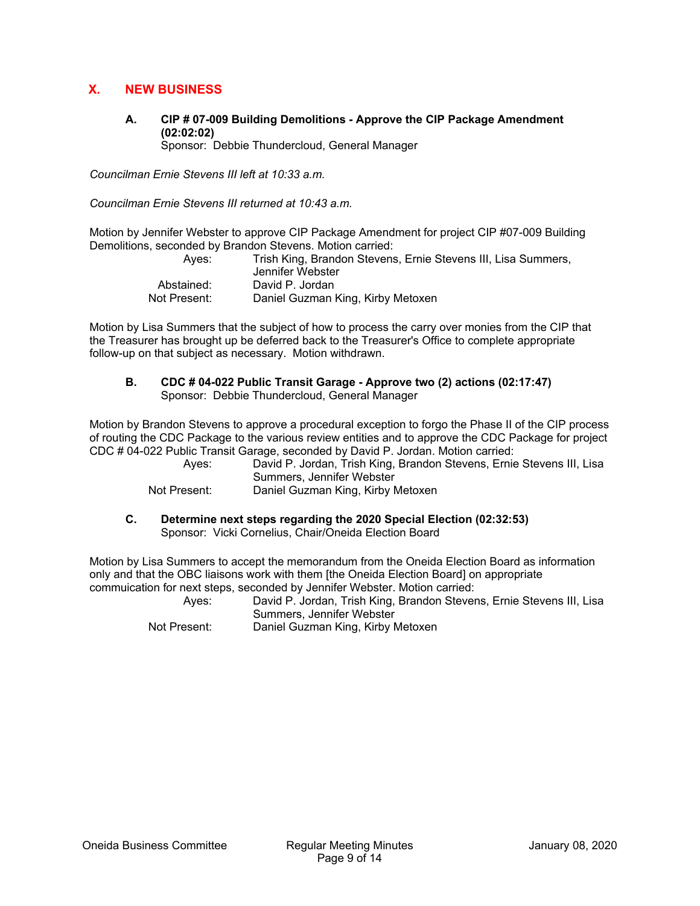#### **X. NEW BUSINESS**

**A. CIP # 07-009 Building Demolitions - Approve the CIP Package Amendment (02:02:02)** 

Sponsor: Debbie Thundercloud, General Manager

*Councilman Ernie Stevens III left at 10:33 a.m.* 

*Councilman Ernie Stevens III returned at 10:43 a.m.* 

Motion by Jennifer Webster to approve CIP Package Amendment for project CIP #07-009 Building Demolitions, seconded by Brandon Stevens. Motion carried:

| Aves:        | Trish King, Brandon Stevens, Ernie Stevens III, Lisa Summers,<br>Jennifer Webster |
|--------------|-----------------------------------------------------------------------------------|
| Abstained:   | David P. Jordan                                                                   |
| Not Present: | Daniel Guzman King, Kirby Metoxen                                                 |

Motion by Lisa Summers that the subject of how to process the carry over monies from the CIP that the Treasurer has brought up be deferred back to the Treasurer's Office to complete appropriate follow-up on that subject as necessary. Motion withdrawn.

**B. CDC # 04-022 Public Transit Garage - Approve two (2) actions (02:17:47)**  Sponsor: Debbie Thundercloud, General Manager

Motion by Brandon Stevens to approve a procedural exception to forgo the Phase II of the CIP process of routing the CDC Package to the various review entities and to approve the CDC Package for project CDC # 04-022 Public Transit Garage, seconded by David P. Jordan. Motion carried:

 Ayes: David P. Jordan, Trish King, Brandon Stevens, Ernie Stevens III, Lisa Summers, Jennifer Webster

Not Present: Daniel Guzman King, Kirby Metoxen

**C. Determine next steps regarding the 2020 Special Election (02:32:53)**  Sponsor: Vicki Cornelius, Chair/Oneida Election Board

Motion by Lisa Summers to accept the memorandum from the Oneida Election Board as information only and that the OBC liaisons work with them [the Oneida Election Board] on appropriate commuication for next steps, seconded by Jennifer Webster. Motion carried:

 Ayes: David P. Jordan, Trish King, Brandon Stevens, Ernie Stevens III, Lisa Summers, Jennifer Webster

Not Present: Daniel Guzman King, Kirby Metoxen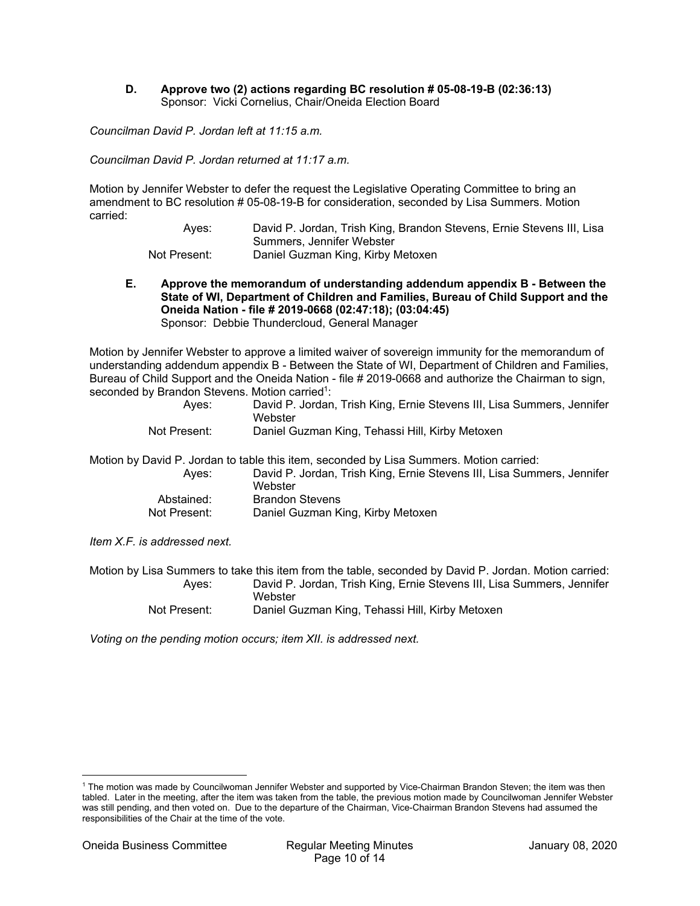#### **D. Approve two (2) actions regarding BC resolution # 05-08-19-B (02:36:13)**  Sponsor: Vicki Cornelius, Chair/Oneida Election Board

*Councilman David P. Jordan left at 11:15 a.m.* 

*Councilman David P. Jordan returned at 11:17 a.m.* 

Motion by Jennifer Webster to defer the request the Legislative Operating Committee to bring an amendment to BC resolution # 05-08-19-B for consideration, seconded by Lisa Summers. Motion carried:

> Ayes: David P. Jordan, Trish King, Brandon Stevens, Ernie Stevens III, Lisa Summers, Jennifer Webster Not Present: Daniel Guzman King, Kirby Metoxen

**E. Approve the memorandum of understanding addendum appendix B - Between the State of WI, Department of Children and Families, Bureau of Child Support and the Oneida Nation - file # 2019-0668 (02:47:18); (03:04:45)**  Sponsor: Debbie Thundercloud, General Manager

Motion by Jennifer Webster to approve a limited waiver of sovereign immunity for the memorandum of understanding addendum appendix B - Between the State of WI, Department of Children and Families, Bureau of Child Support and the Oneida Nation - file # 2019-0668 and authorize the Chairman to sign, seconded by Brandon Stevens. Motion carried<sup>1</sup>:

| Aves:        | David P. Jordan, Trish King, Ernie Stevens III, Lisa Summers, Jennifer<br>Webster |
|--------------|-----------------------------------------------------------------------------------|
| Not Present: | Daniel Guzman King, Tehassi Hill, Kirby Metoxen                                   |

Motion by David P. Jordan to table this item, seconded by Lisa Summers. Motion carried:

| Aves:        | David P. Jordan, Trish King, Ernie Stevens III, Lisa Summers, Jennifer<br>Webster |
|--------------|-----------------------------------------------------------------------------------|
| Abstained:   | <b>Brandon Stevens</b>                                                            |
| Not Present: | Daniel Guzman King, Kirby Metoxen                                                 |

*Item X.F. is addressed next.* 

Motion by Lisa Summers to take this item from the table, seconded by David P. Jordan. Motion carried: Ayes: David P. Jordan, Trish King, Ernie Stevens III, Lisa Summers, Jennifer **Webster** Not Present: Daniel Guzman King, Tehassi Hill, Kirby Metoxen

*Voting on the pending motion occurs; item XII. is addressed next.* 

<sup>1</sup> The motion was made by Councilwoman Jennifer Webster and supported by Vice-Chairman Brandon Steven; the item was then tabled. Later in the meeting, after the item was taken from the table, the previous motion made by Councilwoman Jennifer Webster was still pending, and then voted on. Due to the departure of the Chairman, Vice-Chairman Brandon Stevens had assumed the responsibilities of the Chair at the time of the vote.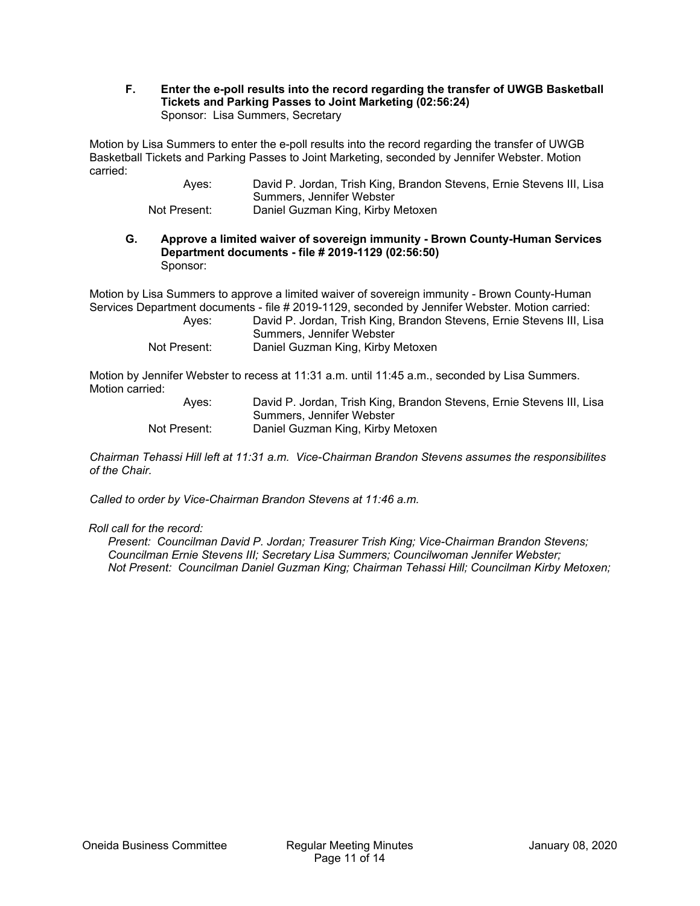#### **F. Enter the e-poll results into the record regarding the transfer of UWGB Basketball Tickets and Parking Passes to Joint Marketing (02:56:24)**  Sponsor: Lisa Summers, Secretary

Motion by Lisa Summers to enter the e-poll results into the record regarding the transfer of UWGB Basketball Tickets and Parking Passes to Joint Marketing, seconded by Jennifer Webster. Motion carried:

 Ayes: David P. Jordan, Trish King, Brandon Stevens, Ernie Stevens III, Lisa Summers, Jennifer Webster Not Present: Daniel Guzman King, Kirby Metoxen

#### **G. Approve a limited waiver of sovereign immunity - Brown County-Human Services Department documents - file # 2019-1129 (02:56:50)**  Sponsor:

Motion by Lisa Summers to approve a limited waiver of sovereign immunity - Brown County-Human Services Department documents - file # 2019-1129, seconded by Jennifer Webster. Motion carried:

| Ayes:        | David P. Jordan, Trish King, Brandon Stevens, Ernie Stevens III, Lisa |
|--------------|-----------------------------------------------------------------------|
|              | Summers, Jennifer Webster                                             |
| Not Present: | Daniel Guzman King, Kirby Metoxen                                     |

Motion by Jennifer Webster to recess at 11:31 a.m. until 11:45 a.m., seconded by Lisa Summers. Motion carried:

| Ayes:        | David P. Jordan, Trish King, Brandon Stevens, Ernie Stevens III, Lisa |
|--------------|-----------------------------------------------------------------------|
|              | Summers, Jennifer Webster                                             |
| Not Present: | Daniel Guzman King, Kirby Metoxen                                     |

*Chairman Tehassi Hill left at 11:31 a.m. Vice-Chairman Brandon Stevens assumes the responsibilites of the Chair.* 

*Called to order by Vice-Chairman Brandon Stevens at 11:46 a.m.* 

#### *Roll call for the record:*

*Present: Councilman David P. Jordan; Treasurer Trish King; Vice-Chairman Brandon Stevens; Councilman Ernie Stevens III; Secretary Lisa Summers; Councilwoman Jennifer Webster; Not Present: Councilman Daniel Guzman King; Chairman Tehassi Hill; Councilman Kirby Metoxen;*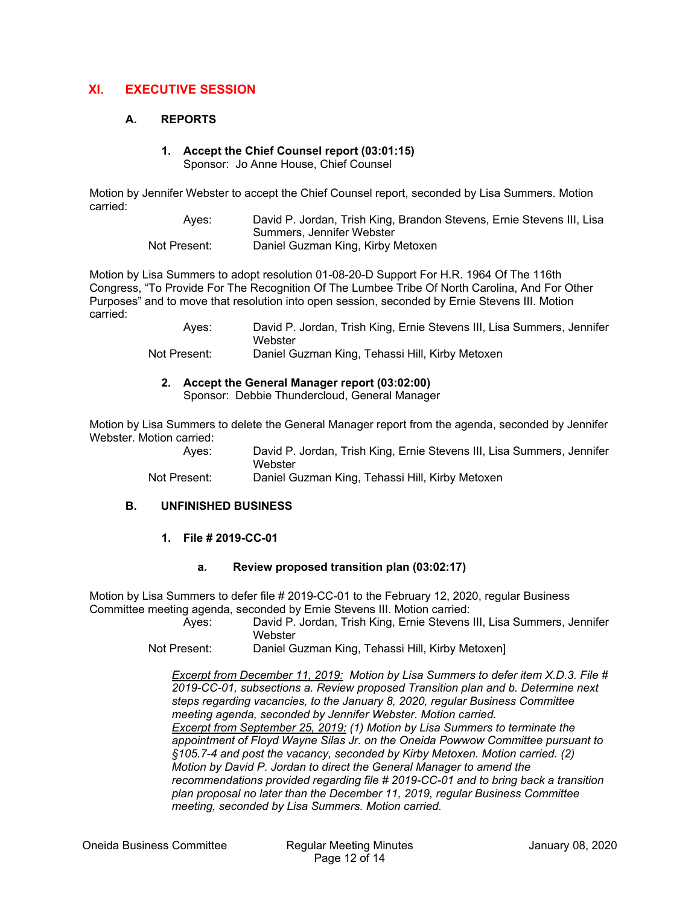#### **XI. EXECUTIVE SESSION**

#### **A. REPORTS**

# **1. Accept the Chief Counsel report (03:01:15)**

Sponsor: Jo Anne House, Chief Counsel

Motion by Jennifer Webster to accept the Chief Counsel report, seconded by Lisa Summers. Motion carried:

> Ayes: David P. Jordan, Trish King, Brandon Stevens, Ernie Stevens III, Lisa Summers, Jennifer Webster Not Present: Daniel Guzman King, Kirby Metoxen

Motion by Lisa Summers to adopt resolution 01-08-20-D Support For H.R. 1964 Of The 116th Congress, "To Provide For The Recognition Of The Lumbee Tribe Of North Carolina, And For Other Purposes" and to move that resolution into open session, seconded by Ernie Stevens III. Motion carried:

> Ayes: David P. Jordan, Trish King, Ernie Stevens III, Lisa Summers, Jennifer **Webster**

Not Present: Daniel Guzman King, Tehassi Hill, Kirby Metoxen

#### **2. Accept the General Manager report (03:02:00)**

Sponsor: Debbie Thundercloud, General Manager

Motion by Lisa Summers to delete the General Manager report from the agenda, seconded by Jennifer Webster. Motion carried:

 Ayes: David P. Jordan, Trish King, Ernie Stevens III, Lisa Summers, Jennifer **Webster** Not Present: Daniel Guzman King, Tehassi Hill, Kirby Metoxen

# **1. File # 2019-CC-01**

**B. UNFINISHED BUSINESS** 

#### **a. Review proposed transition plan (03:02:17)**

Motion by Lisa Summers to defer file # 2019-CC-01 to the February 12, 2020, regular Business Committee meeting agenda, seconded by Ernie Stevens III. Motion carried:

> Ayes: David P. Jordan, Trish King, Ernie Stevens III, Lisa Summers, Jennifer Webster

Not Present: Daniel Guzman King, Tehassi Hill, Kirby Metoxen]

*Excerpt from December 11, 2019: Motion by Lisa Summers to defer item X.D.3. File # 2019-CC-01, subsections a. Review proposed Transition plan and b. Determine next steps regarding vacancies, to the January 8, 2020, regular Business Committee meeting agenda, seconded by Jennifer Webster. Motion carried. Excerpt from September 25, 2019: (1) Motion by Lisa Summers to terminate the appointment of Floyd Wayne Silas Jr. on the Oneida Powwow Committee pursuant to §105.7-4 and post the vacancy, seconded by Kirby Metoxen. Motion carried. (2) Motion by David P. Jordan to direct the General Manager to amend the recommendations provided regarding file # 2019-CC-01 and to bring back a transition plan proposal no later than the December 11, 2019, regular Business Committee meeting, seconded by Lisa Summers. Motion carried.*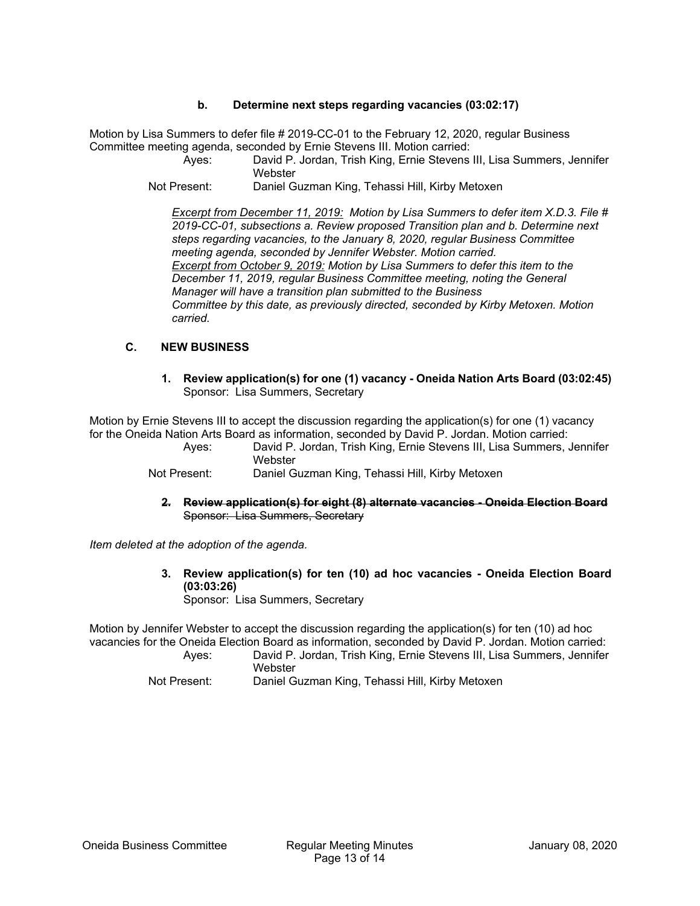#### **b. Determine next steps regarding vacancies (03:02:17)**

Motion by Lisa Summers to defer file # 2019-CC-01 to the February 12, 2020, regular Business Committee meeting agenda, seconded by Ernie Stevens III. Motion carried:

 Ayes: David P. Jordan, Trish King, Ernie Stevens III, Lisa Summers, Jennifer **Webster** 

Not Present: Daniel Guzman King, Tehassi Hill, Kirby Metoxen

*Excerpt from December 11, 2019: Motion by Lisa Summers to defer item X.D.3. File # 2019-CC-01, subsections a. Review proposed Transition plan and b. Determine next steps regarding vacancies, to the January 8, 2020, regular Business Committee meeting agenda, seconded by Jennifer Webster. Motion carried. Excerpt from October 9, 2019: Motion by Lisa Summers to defer this item to the December 11, 2019, regular Business Committee meeting, noting the General Manager will have a transition plan submitted to the Business Committee by this date, as previously directed, seconded by Kirby Metoxen. Motion carried.*

#### **C. NEW BUSINESS**

**1. Review application(s) for one (1) vacancy - Oneida Nation Arts Board (03:02:45)**  Sponsor: Lisa Summers, Secretary

Motion by Ernie Stevens III to accept the discussion regarding the application(s) for one (1) vacancy for the Oneida Nation Arts Board as information, seconded by David P. Jordan. Motion carried:

 Ayes: David P. Jordan, Trish King, Ernie Stevens III, Lisa Summers, Jennifer **Webster** 

Not Present: Daniel Guzman King, Tehassi Hill, Kirby Metoxen

**2. Review application(s) for eight (8) alternate vacancies - Oneida Election Board**  Sponsor: Lisa Summers, Secretary

*Item deleted at the adoption of the agenda.* 

**3. Review application(s) for ten (10) ad hoc vacancies - Oneida Election Board (03:03:26)** 

Sponsor: Lisa Summers, Secretary

Motion by Jennifer Webster to accept the discussion regarding the application(s) for ten (10) ad hoc vacancies for the Oneida Election Board as information, seconded by David P. Jordan. Motion carried:

 Ayes: David P. Jordan, Trish King, Ernie Stevens III, Lisa Summers, Jennifer **Webster** 

Not Present: Daniel Guzman King, Tehassi Hill, Kirby Metoxen